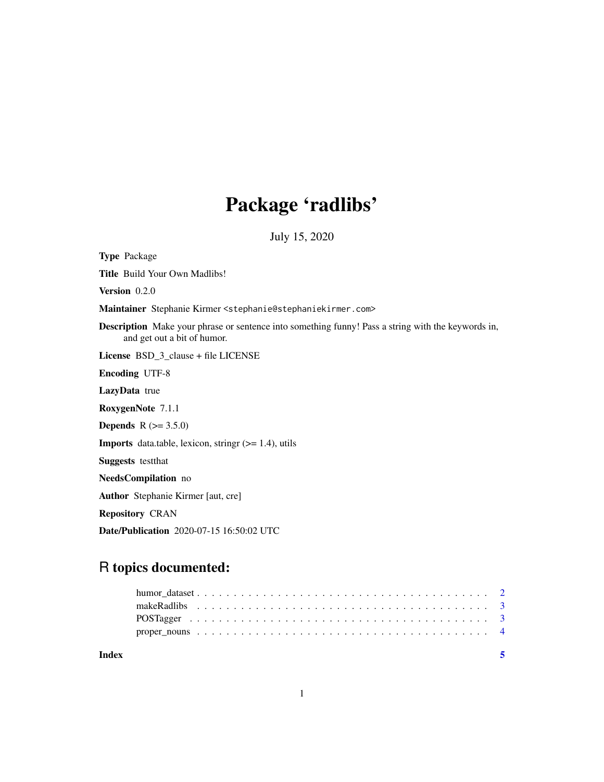## Package 'radlibs'

July 15, 2020

Type Package Title Build Your Own Madlibs! Version 0.2.0 Maintainer Stephanie Kirmer <stephanie@stephaniekirmer.com> Description Make your phrase or sentence into something funny! Pass a string with the keywords in, and get out a bit of humor. License BSD\_3\_clause + file LICENSE Encoding UTF-8 LazyData true RoxygenNote 7.1.1 **Depends**  $R (= 3.5.0)$ **Imports** data.table, lexicon, stringr  $(>= 1.4)$ , utils Suggests testthat NeedsCompilation no Author Stephanie Kirmer [aut, cre] Repository CRAN Date/Publication 2020-07-15 16:50:02 UTC

### R topics documented:

| Index |  |  |  |  |  |  |  |  |  |  |  |  |  |  |  |  |  |
|-------|--|--|--|--|--|--|--|--|--|--|--|--|--|--|--|--|--|
|       |  |  |  |  |  |  |  |  |  |  |  |  |  |  |  |  |  |
|       |  |  |  |  |  |  |  |  |  |  |  |  |  |  |  |  |  |
|       |  |  |  |  |  |  |  |  |  |  |  |  |  |  |  |  |  |
|       |  |  |  |  |  |  |  |  |  |  |  |  |  |  |  |  |  |
|       |  |  |  |  |  |  |  |  |  |  |  |  |  |  |  |  |  |

1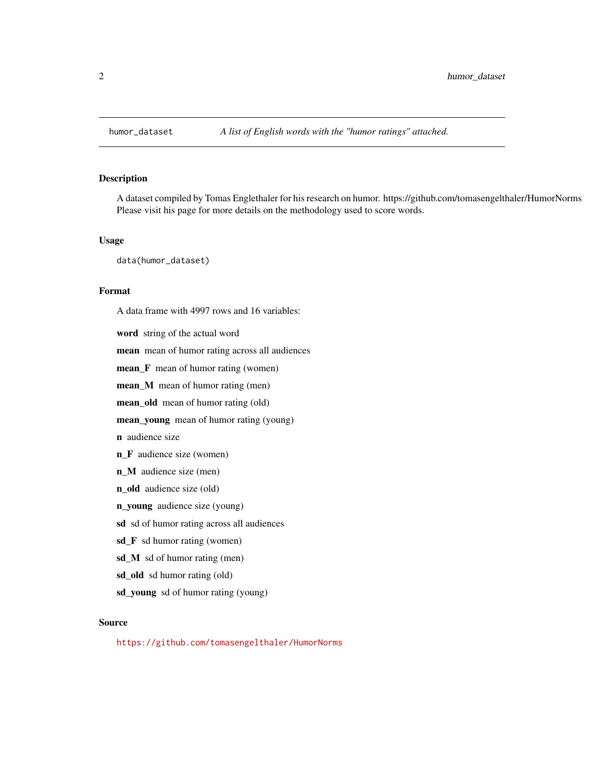<span id="page-1-0"></span>

#### Description

A dataset compiled by Tomas Englethaler for his research on humor. https://github.com/tomasengelthaler/HumorNorms Please visit his page for more details on the methodology used to score words.

#### Usage

data(humor\_dataset)

#### Format

A data frame with 4997 rows and 16 variables:

word string of the actual word mean mean of humor rating across all audiences mean\_F mean of humor rating (women) mean\_M mean of humor rating (men) mean\_old mean of humor rating (old) mean\_young mean of humor rating (young) n audience size n\_F audience size (women) n\_M audience size (men) n\_old audience size (old) n\_young audience size (young) sd sd of humor rating across all audiences sd\_F sd humor rating (women) sd\_M sd of humor rating (men) sd\_old sd humor rating (old) sd\_young sd of humor rating (young)

#### Source

<https://github.com/tomasengelthaler/HumorNorms>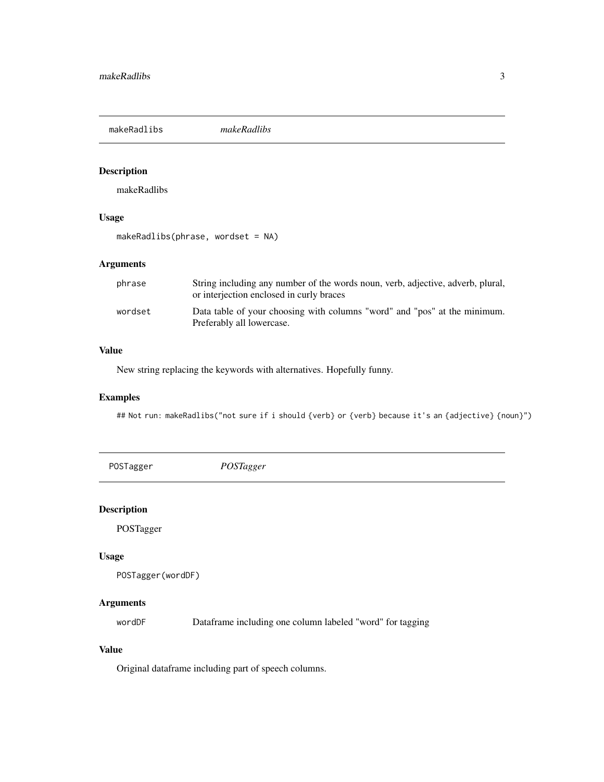<span id="page-2-0"></span>makeRadlibs *makeRadlibs*

#### Description

makeRadlibs

#### Usage

```
makeRadlibs(phrase, wordset = NA)
```
#### Arguments

| phrase  | String including any number of the words noun, verb, adjective, adverb, plural,<br>or interjection enclosed in curly braces |
|---------|-----------------------------------------------------------------------------------------------------------------------------|
| wordset | Data table of your choosing with columns "word" and "pos" at the minimum.<br>Preferably all lowercase.                      |

#### Value

New string replacing the keywords with alternatives. Hopefully funny.

#### Examples

## Not run: makeRadlibs("not sure if i should {verb} or {verb} because it's an {adjective} {noun}")

POSTagger *POSTagger*

#### Description

POSTagger

#### Usage

```
POSTagger(wordDF)
```
#### Arguments

wordDF Dataframe including one column labeled "word" for tagging

#### Value

Original dataframe including part of speech columns.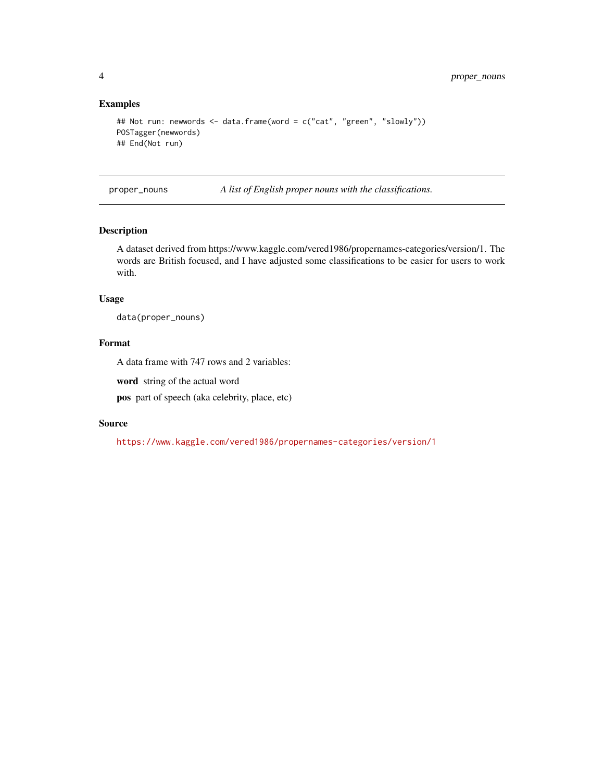#### Examples

```
## Not run: newwords <- data.frame(word = c("cat", "green", "slowly"))
POSTagger(newwords)
## End(Not run)
```
proper\_nouns *A list of English proper nouns with the classifications.*

#### Description

A dataset derived from https://www.kaggle.com/vered1986/propernames-categories/version/1. The words are British focused, and I have adjusted some classifications to be easier for users to work with.

#### Usage

```
data(proper_nouns)
```
#### Format

A data frame with 747 rows and 2 variables:

word string of the actual word

pos part of speech (aka celebrity, place, etc)

#### Source

<https://www.kaggle.com/vered1986/propernames-categories/version/1>

<span id="page-3-0"></span>